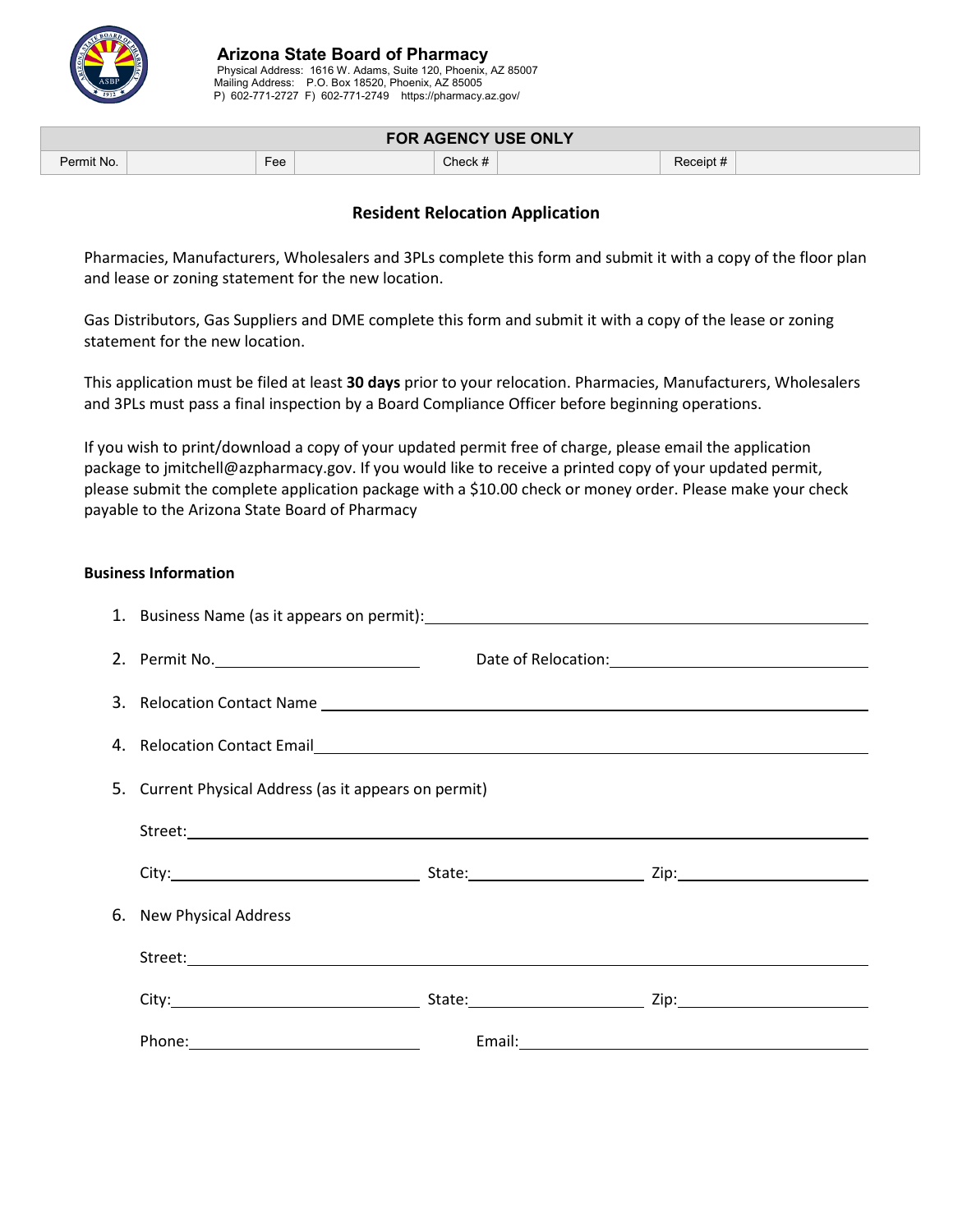

## **FOR AGENCY USE ONLY**

 $\overline{a}$ 

| Permit No.<br>----------- |  | Fee | $\cdot$<br>Check $\frac{1}{h}$<br>the contract of the contract of the contract of | $\cdot$<br>eipt:<br>.<br>ver |
|---------------------------|--|-----|-----------------------------------------------------------------------------------|------------------------------|
|---------------------------|--|-----|-----------------------------------------------------------------------------------|------------------------------|

## **Resident Relocation Application**

Pharmacies, Manufacturers, Wholesalers and 3PLs complete this form and submit it with a copy of the floor plan and lease or zoning statement for the new location.

Gas Distributors, Gas Suppliers and DME complete this form and submit it with a copy of the lease or zoning statement for the new location.

This application must be filed at least **30 days** prior to your relocation. Pharmacies, Manufacturers, Wholesalers and 3PLs must pass a final inspection by a Board Compliance Officer before beginning operations.

If you wish to print/download a copy of your updated permit free of charge, please email the application package to jmitchell@azpharmacy.gov. If you would like to receive a printed copy of your updated permit, please submit the complete application package with a \$10.00 check or money order. Please make your check payable to the Arizona State Board of Pharmacy

## **Business Information**

|                         | 1. Business Name (as it appears on permit): 1. 2008 1. 2010 1. 2010 1. 2010 1. 2010 1. 2010 1. 2010 1. 2010 1.                                                                                                                 |  |  |  |  |
|-------------------------|--------------------------------------------------------------------------------------------------------------------------------------------------------------------------------------------------------------------------------|--|--|--|--|
|                         |                                                                                                                                                                                                                                |  |  |  |  |
|                         |                                                                                                                                                                                                                                |  |  |  |  |
|                         | 4. Relocation Contact Email Electron Contact 2 and 2 and 2 and 2 and 2 and 2 and 2 and 2 and 2 and 2 and 2 and 2 and 2 and 2 and 2 and 2 and 2 and 2 and 2 and 2 and 2 and 2 and 2 and 2 and 2 and 2 and 2 and 2 and 2 and 2 a |  |  |  |  |
|                         | 5. Current Physical Address (as it appears on permit)                                                                                                                                                                          |  |  |  |  |
|                         |                                                                                                                                                                                                                                |  |  |  |  |
|                         |                                                                                                                                                                                                                                |  |  |  |  |
| 6. New Physical Address |                                                                                                                                                                                                                                |  |  |  |  |
|                         |                                                                                                                                                                                                                                |  |  |  |  |
|                         |                                                                                                                                                                                                                                |  |  |  |  |
|                         | Phone: The Contract of the Contract of the Contract of the Contract of the Contract of the Contract of the Contract of the Contract of the Contract of the Contract of the Contract of the Contract of the Contract of the Con |  |  |  |  |